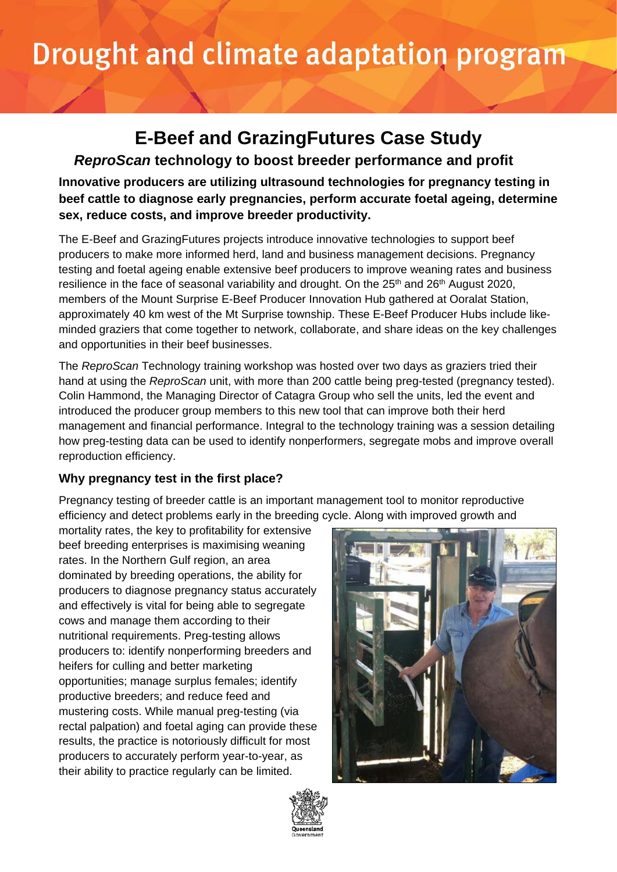# Drought and climate adaptation program

# **E-Beef and GrazingFutures Case Study**

*ReproScan* **technology to boost breeder performance and profit**

**Innovative producers are utilizing ultrasound technologies for pregnancy testing in beef cattle to diagnose early pregnancies, perform accurate foetal ageing, determine sex, reduce costs, and improve breeder productivity.**

The E-Beef and GrazingFutures projects introduce innovative technologies to support beef producers to make more informed herd, land and business management decisions. Pregnancy testing and foetal ageing enable extensive beef producers to improve weaning rates and business resilience in the face of seasonal variability and drought. On the  $25<sup>th</sup>$  and  $26<sup>th</sup>$  August 2020, members of the Mount Surprise E-Beef Producer Innovation Hub gathered at Ooralat Station, approximately 40 km west of the Mt Surprise township. These E-Beef Producer Hubs include likeminded graziers that come together to network, collaborate, and share ideas on the key challenges and opportunities in their beef businesses.

The *ReproScan* Technology training workshop was hosted over two days as graziers tried their hand at using the *ReproScan* unit, with more than 200 cattle being preg-tested (pregnancy tested). Colin Hammond, the Managing Director of Catagra Group who sell the units, led the event and introduced the producer group members to this new tool that can improve both their herd management and financial performance. Integral to the technology training was a session detailing how preg-testing data can be used to identify nonperformers, segregate mobs and improve overall reproduction efficiency.

# **Why pregnancy test in the first place?**

Pregnancy testing of breeder cattle is an important management tool to monitor reproductive efficiency and detect problems early in the breeding cycle. Along with improved growth and

mortality rates, the key to profitability for extensive beef breeding enterprises is maximising weaning rates. In the Northern Gulf region, an area dominated by breeding operations, the ability for producers to diagnose pregnancy status accurately and effectively is vital for being able to segregate cows and manage them according to their nutritional requirements. Preg-testing allows producers to: identify nonperforming breeders and heifers for culling and better marketing opportunities; manage surplus females; identify productive breeders; and reduce feed and mustering costs. While manual preg-testing (via rectal palpation) and foetal aging can provide these results, the practice is notoriously difficult for most producers to accurately perform year-to-year, as their ability to practice regularly can be limited.



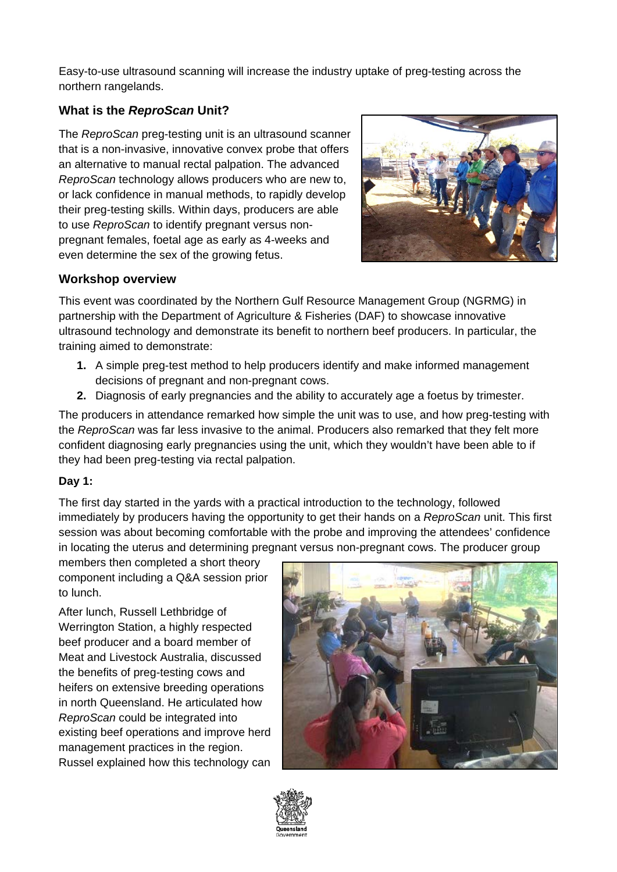Easy-to-use ultrasound scanning will increase the industry uptake of preg-testing across the northern rangelands.

#### **What is the** *ReproScan* **Unit?**

The *ReproScan* preg-testing unit is an ultrasound scanner that is a non-invasive, innovative convex probe that offers an alternative to manual rectal palpation. The advanced *ReproScan* technology allows producers who are new to, or lack confidence in manual methods, to rapidly develop their preg-testing skills. Within days, producers are able to use *ReproScan* to identify pregnant versus nonpregnant females, foetal age as early as 4-weeks and even determine the sex of the growing fetus.



### **Workshop overview**

This event was coordinated by the Northern Gulf Resource Management Group (NGRMG) in partnership with the Department of Agriculture & Fisheries (DAF) to showcase innovative ultrasound technology and demonstrate its benefit to northern beef producers. In particular, the training aimed to demonstrate:

- **1.** A simple preg-test method to help producers identify and make informed management decisions of pregnant and non-pregnant cows.
- **2.** Diagnosis of early pregnancies and the ability to accurately age a foetus by trimester.

The producers in attendance remarked how simple the unit was to use, and how preg-testing with the *ReproScan* was far less invasive to the animal. Producers also remarked that they felt more confident diagnosing early pregnancies using the unit, which they wouldn't have been able to if they had been preg-testing via rectal palpation.

#### **Day 1:**

The first day started in the yards with a practical introduction to the technology, followed immediately by producers having the opportunity to get their hands on a *ReproScan* unit. This first session was about becoming comfortable with the probe and improving the attendees' confidence in locating the uterus and determining pregnant versus non-pregnant cows. The producer group

members then completed a short theory component including a Q&A session prior to lunch.

After lunch, Russell Lethbridge of Werrington Station, a highly respected beef producer and a board member of Meat and Livestock Australia, discussed the benefits of preg-testing cows and heifers on extensive breeding operations in north Queensland. He articulated how *ReproScan* could be integrated into existing beef operations and improve herd management practices in the region. Russel explained how this technology can



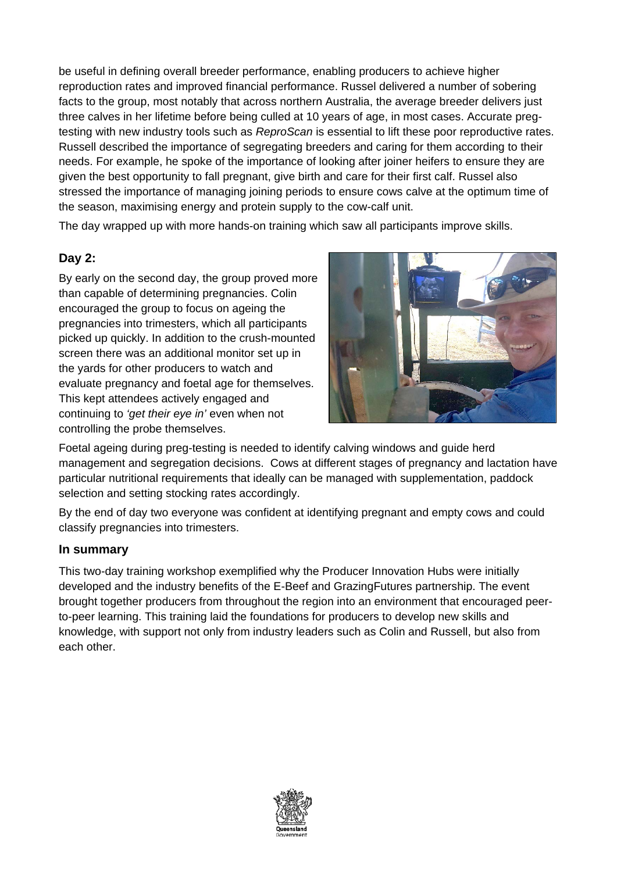be useful in defining overall breeder performance, enabling producers to achieve higher reproduction rates and improved financial performance. Russel delivered a number of sobering facts to the group, most notably that across northern Australia, the average breeder delivers just three calves in her lifetime before being culled at 10 years of age, in most cases. Accurate pregtesting with new industry tools such as *ReproScan* is essential to lift these poor reproductive rates. Russell described the importance of segregating breeders and caring for them according to their needs. For example, he spoke of the importance of looking after joiner heifers to ensure they are given the best opportunity to fall pregnant, give birth and care for their first calf. Russel also stressed the importance of managing joining periods to ensure cows calve at the optimum time of the season, maximising energy and protein supply to the cow-calf unit.

The day wrapped up with more hands-on training which saw all participants improve skills.

# **Day 2:**

By early on the second day, the group proved more than capable of determining pregnancies. Colin encouraged the group to focus on ageing the pregnancies into trimesters, which all participants picked up quickly. In addition to the crush-mounted screen there was an additional monitor set up in the yards for other producers to watch and evaluate pregnancy and foetal age for themselves. This kept attendees actively engaged and continuing to *'get their eye in'* even when not controlling the probe themselves.



Foetal ageing during preg-testing is needed to identify calving windows and guide herd management and segregation decisions. Cows at different stages of pregnancy and lactation have particular nutritional requirements that ideally can be managed with supplementation, paddock selection and setting stocking rates accordingly.

By the end of day two everyone was confident at identifying pregnant and empty cows and could classify pregnancies into trimesters.

#### **In summary**

This two-day training workshop exemplified why the Producer Innovation Hubs were initially developed and the industry benefits of the E-Beef and GrazingFutures partnership. The event brought together producers from throughout the region into an environment that encouraged peerto-peer learning. This training laid the foundations for producers to develop new skills and knowledge, with support not only from industry leaders such as Colin and Russell, but also from each other.